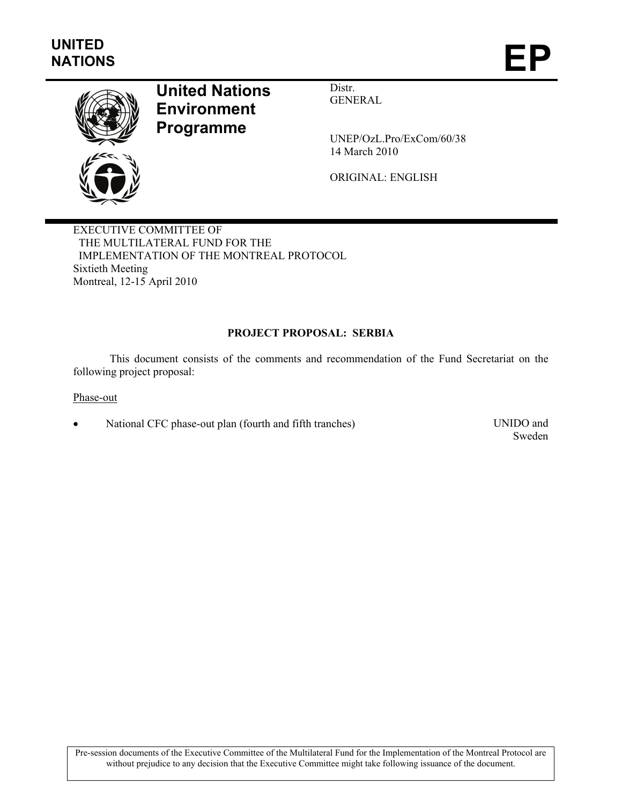

# **United Nations Environment Programme**

Distr. GENERAL

UNEP/OzL.Pro/ExCom/60/38 14 March 2010

ORIGINAL: ENGLISH

EXECUTIVE COMMITTEE OF THE MULTILATERAL FUND FOR THE IMPLEMENTATION OF THE MONTREAL PROTOCOL Sixtieth Meeting Montreal, 12-15 April 2010

## **PROJECT PROPOSAL: SERBIA**

This document consists of the comments and recommendation of the Fund Secretariat on the following project proposal:

Phase-out

• National CFC phase-out plan (fourth and fifth tranches) UNIDO and

Sweden

Pre-session documents of the Executive Committee of the Multilateral Fund for the Implementation of the Montreal Protocol are without prejudice to any decision that the Executive Committee might take following issuance of the document.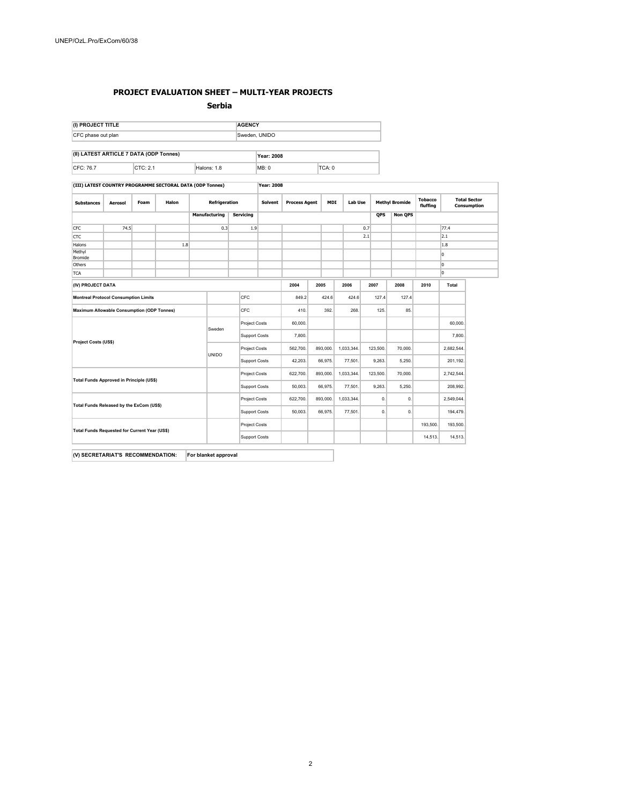#### **PROJECT EVALUATION SHEET – MULTI-YEAR PROJECTS**

**Serbia** 

| (I) PROJECT TITLE  |                                         |             | <b>AGENCY</b>     |        |  |  |  |  |
|--------------------|-----------------------------------------|-------------|-------------------|--------|--|--|--|--|
| CFC phase out plan |                                         |             | Sweden, UNIDO     |        |  |  |  |  |
|                    |                                         |             |                   |        |  |  |  |  |
|                    | (II) LATEST ARTICLE 7 DATA (ODP Tonnes) |             | <b>Year: 2008</b> |        |  |  |  |  |
|                    | CTC: 2.1                                | Halons: 1.8 | MB: 0             | TCA: 0 |  |  |  |  |

**(III) LATEST COUNTRY PROGRAMME SECTORAL DATA (ODP Tonnes) Year: 2008**

| <b>Substances</b>                             | Aerosol                                     | Foam | Halon                                                                                           | Refrigeration        |                  | <b>Solvent</b> | <b>Process Agent</b> | <b>MDI</b><br><b>Lab Use</b> |            | <b>Methyl Bromide</b> |              | <b>Tobacco</b><br>fluffing | <b>Total Sector</b><br>Consumption |            |
|-----------------------------------------------|---------------------------------------------|------|-------------------------------------------------------------------------------------------------|----------------------|------------------|----------------|----------------------|------------------------------|------------|-----------------------|--------------|----------------------------|------------------------------------|------------|
|                                               |                                             |      |                                                                                                 | <b>Manufacturing</b> | <b>Servicing</b> |                |                      |                              |            |                       | <b>QPS</b>   | <b>Non QPS</b>             |                                    |            |
| <b>CFC</b>                                    | 74.5                                        |      |                                                                                                 | 0.3                  | 1.9              |                |                      |                              |            | 0.7                   |              |                            |                                    | 77.4       |
| CTC                                           |                                             |      |                                                                                                 |                      |                  |                |                      |                              |            | 2.1                   |              |                            |                                    | 2.1        |
| Halons                                        |                                             |      | 1.8                                                                                             |                      |                  |                |                      |                              |            |                       |              |                            |                                    | 1.8        |
| Methyl<br>Bromide                             |                                             |      |                                                                                                 |                      |                  |                |                      |                              |            |                       |              |                            |                                    | I٥         |
| Others                                        |                                             |      |                                                                                                 |                      |                  |                |                      |                              |            |                       |              |                            |                                    | lo.        |
| <b>TCA</b>                                    |                                             |      |                                                                                                 |                      |                  |                |                      |                              |            |                       |              |                            |                                    | 10         |
| (IV) PROJECT DATA                             |                                             |      |                                                                                                 |                      |                  |                | 2004                 | 2005                         | 2006       |                       | 2007         | 2008                       | 2010<br>Total                      |            |
|                                               | <b>Montreal Protocol Consumption Limits</b> |      |                                                                                                 |                      | <b>CFC</b>       |                | 849.2                |                              | 424.6      | 424.6                 | 127.4        | 127.4                      |                                    |            |
|                                               |                                             |      | CFC<br><b>Maximum Allowable Consumption (ODP Tonnes)</b><br>125.<br>85.<br>410.<br>392.<br>268. |                      |                  |                |                      |                              |            |                       |              |                            |                                    |            |
|                                               |                                             |      |                                                                                                 |                      | Project Costs    |                | 60,000.              |                              |            |                       |              |                            |                                    | 60,000.    |
| Project Costs (US\$)                          |                                             |      | Sweden                                                                                          | Support Costs        |                  | 7,800.         |                      |                              |            |                       |              |                            | 7,800.                             |            |
|                                               |                                             |      | UNIDO                                                                                           | Project Costs        |                  | 562,700.       | 893,000.             | 1,033,344.                   |            | 123,500.              | 70,000.      |                            | 2,682,544.                         |            |
|                                               |                                             |      |                                                                                                 | Support Costs        |                  | 42,203.        | 66,975.              |                              | 77,501.    | 9,263.                | 5,250.       |                            | 201,192.                           |            |
|                                               |                                             |      |                                                                                                 |                      | Project Costs    |                | 622,700.             | 893,000.                     | 1,033,344. |                       | 123,500.     | 70,000.                    |                                    | 2,742,544. |
| Total Funds Approved in Principle (US\$)      |                                             |      |                                                                                                 | Support Costs        |                  | 50,003.        | 66,975.              |                              | 77,501.    | 9,263.                | 5,250.       |                            | 208,992.                           |            |
| Total Funds Released by the ExCom (US\$)      |                                             |      |                                                                                                 | Project Costs        |                  | 622,700.       | 893,000.             | 1,033,344.                   |            | 0.                    | $\mathbf{0}$ |                            | 2,549,044.                         |            |
|                                               |                                             |      |                                                                                                 | Support Costs        |                  | 50,003.        | 66,975.              |                              | 77,501.    | 0.                    | 0.           |                            | 194,479.                           |            |
| Total Funds Requested for Current Year (US\$) |                                             |      |                                                                                                 | Project Costs        |                  |                |                      |                              |            |                       |              | 193,500.                   | 193,500.                           |            |
|                                               |                                             |      |                                                                                                 | Support Costs        |                  |                |                      |                              |            |                       |              | 14,513.                    | 14,513.                            |            |

**(V) SECRETARIAT'S RECOMMENDATION: For blanket approval**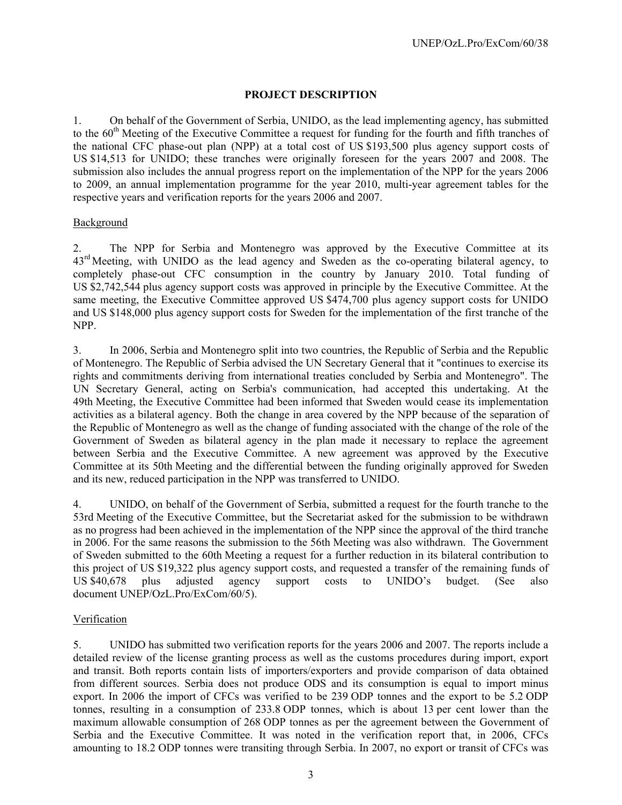## **PROJECT DESCRIPTION**

1. On behalf of the Government of Serbia, UNIDO, as the lead implementing agency, has submitted to the 60<sup>th</sup> Meeting of the Executive Committee a request for funding for the fourth and fifth tranches of the national CFC phase-out plan (NPP) at a total cost of US \$193,500 plus agency support costs of US \$14,513 for UNIDO; these tranches were originally foreseen for the years 2007 and 2008. The submission also includes the annual progress report on the implementation of the NPP for the years 2006 to 2009, an annual implementation programme for the year 2010, multi-year agreement tables for the respective years and verification reports for the years 2006 and 2007.

#### Background

2. The NPP for Serbia and Montenegro was approved by the Executive Committee at its 43<sup>rd</sup> Meeting, with UNIDO as the lead agency and Sweden as the co-operating bilateral agency, to completely phase-out CFC consumption in the country by January 2010. Total funding of US \$2,742,544 plus agency support costs was approved in principle by the Executive Committee. At the same meeting, the Executive Committee approved US \$474,700 plus agency support costs for UNIDO and US \$148,000 plus agency support costs for Sweden for the implementation of the first tranche of the NPP.

3. In 2006, Serbia and Montenegro split into two countries, the Republic of Serbia and the Republic of Montenegro. The Republic of Serbia advised the UN Secretary General that it "continues to exercise its rights and commitments deriving from international treaties concluded by Serbia and Montenegro". The UN Secretary General, acting on Serbia's communication, had accepted this undertaking. At the 49th Meeting, the Executive Committee had been informed that Sweden would cease its implementation activities as a bilateral agency. Both the change in area covered by the NPP because of the separation of the Republic of Montenegro as well as the change of funding associated with the change of the role of the Government of Sweden as bilateral agency in the plan made it necessary to replace the agreement between Serbia and the Executive Committee. A new agreement was approved by the Executive Committee at its 50th Meeting and the differential between the funding originally approved for Sweden and its new, reduced participation in the NPP was transferred to UNIDO.

4. UNIDO, on behalf of the Government of Serbia, submitted a request for the fourth tranche to the 53rd Meeting of the Executive Committee, but the Secretariat asked for the submission to be withdrawn as no progress had been achieved in the implementation of the NPP since the approval of the third tranche in 2006. For the same reasons the submission to the 56th Meeting was also withdrawn. The Government of Sweden submitted to the 60th Meeting a request for a further reduction in its bilateral contribution to this project of US \$19,322 plus agency support costs, and requested a transfer of the remaining funds of US \$40,678 plus adjusted agency support costs to UNIDO's budget. (See also document UNEP/OzL.Pro/ExCom/60/5).

#### Verification

5. UNIDO has submitted two verification reports for the years 2006 and 2007. The reports include a detailed review of the license granting process as well as the customs procedures during import, export and transit. Both reports contain lists of importers/exporters and provide comparison of data obtained from different sources. Serbia does not produce ODS and its consumption is equal to import minus export. In 2006 the import of CFCs was verified to be 239 ODP tonnes and the export to be 5.2 ODP tonnes, resulting in a consumption of 233.8 ODP tonnes, which is about 13 per cent lower than the maximum allowable consumption of 268 ODP tonnes as per the agreement between the Government of Serbia and the Executive Committee. It was noted in the verification report that, in 2006, CFCs amounting to 18.2 ODP tonnes were transiting through Serbia. In 2007, no export or transit of CFCs was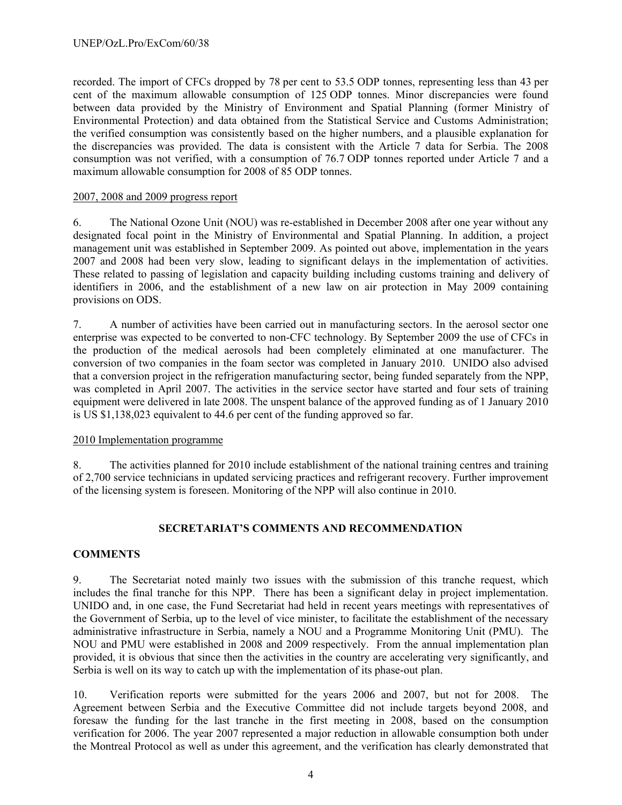recorded. The import of CFCs dropped by 78 per cent to 53.5 ODP tonnes, representing less than 43 per cent of the maximum allowable consumption of 125 ODP tonnes. Minor discrepancies were found between data provided by the Ministry of Environment and Spatial Planning (former Ministry of Environmental Protection) and data obtained from the Statistical Service and Customs Administration; the verified consumption was consistently based on the higher numbers, and a plausible explanation for the discrepancies was provided. The data is consistent with the Article 7 data for Serbia. The 2008 consumption was not verified, with a consumption of 76.7 ODP tonnes reported under Article 7 and a maximum allowable consumption for 2008 of 85 ODP tonnes.

#### 2007, 2008 and 2009 progress report

6. The National Ozone Unit (NOU) was re-established in December 2008 after one year without any designated focal point in the Ministry of Environmental and Spatial Planning. In addition, a project management unit was established in September 2009. As pointed out above, implementation in the years 2007 and 2008 had been very slow, leading to significant delays in the implementation of activities. These related to passing of legislation and capacity building including customs training and delivery of identifiers in 2006, and the establishment of a new law on air protection in May 2009 containing provisions on ODS.

7. A number of activities have been carried out in manufacturing sectors. In the aerosol sector one enterprise was expected to be converted to non-CFC technology. By September 2009 the use of CFCs in the production of the medical aerosols had been completely eliminated at one manufacturer. The conversion of two companies in the foam sector was completed in January 2010. UNIDO also advised that a conversion project in the refrigeration manufacturing sector, being funded separately from the NPP, was completed in April 2007. The activities in the service sector have started and four sets of training equipment were delivered in late 2008. The unspent balance of the approved funding as of 1 January 2010 is US \$1,138,023 equivalent to 44.6 per cent of the funding approved so far.

#### 2010 Implementation programme

8. The activities planned for 2010 include establishment of the national training centres and training of 2,700 service technicians in updated servicing practices and refrigerant recovery. Further improvement of the licensing system is foreseen. Monitoring of the NPP will also continue in 2010.

## **SECRETARIAT'S COMMENTS AND RECOMMENDATION**

#### **COMMENTS**

9. The Secretariat noted mainly two issues with the submission of this tranche request, which includes the final tranche for this NPP. There has been a significant delay in project implementation. UNIDO and, in one case, the Fund Secretariat had held in recent years meetings with representatives of the Government of Serbia, up to the level of vice minister, to facilitate the establishment of the necessary administrative infrastructure in Serbia, namely a NOU and a Programme Monitoring Unit (PMU). The NOU and PMU were established in 2008 and 2009 respectively. From the annual implementation plan provided, it is obvious that since then the activities in the country are accelerating very significantly, and Serbia is well on its way to catch up with the implementation of its phase-out plan.

10. Verification reports were submitted for the years 2006 and 2007, but not for 2008. The Agreement between Serbia and the Executive Committee did not include targets beyond 2008, and foresaw the funding for the last tranche in the first meeting in 2008, based on the consumption verification for 2006. The year 2007 represented a major reduction in allowable consumption both under the Montreal Protocol as well as under this agreement, and the verification has clearly demonstrated that